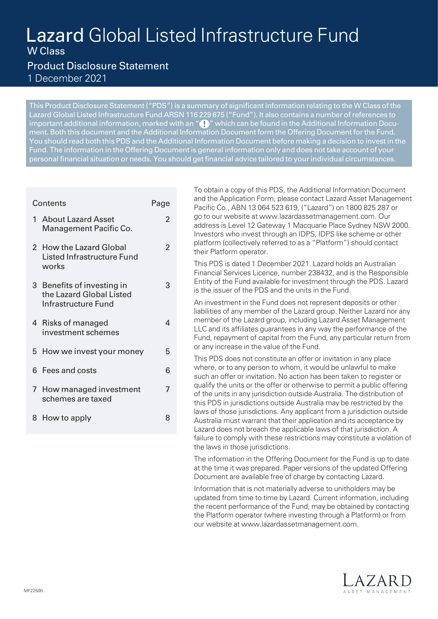# Lazard Global Listed Infrastructure Fund W Class

 $\mathfrak{p}$ 

 $\overline{2}$ 

3

4

7

# Product Disclosure Statement 1 December 2021

This Product Disclosure Statement ("PDS") is a summary of significant information relating to the W Class of the Lazard Global Listed Infrastructure Fund ARSN 116 229 675 ("Fund"). It also contains a number of references to important additional information, marked with an "  $\bigcap$  " which can be found in the Additional Information Document. Both this document and the Additional Information Document form the Offering Document for the Fund. You should read both this PDS and the Additional Information Document before making a decision to invest in the Fund. The information in the Offering Document is general information only and does not take account of your personal financial situation or needs. You should get financial advice tailored to your individual circumstances.

# Contents **Page**

- 1 About Lazard Asset Management Pacific Co.
- 2 How the Lazard Global Listed Infrastructure Fund works
- 3 Benefits of investing in the Lazard Global Listed Infrastructure Fund
- 4 Risks of managed investment schemes
- 5 How we invest your money 5
- 6 Fees and costs 6
- 7 How managed investment schemes are taxed
- 8 How to apply 8

To obtain a copy of this PDS, the Additional Information Document and the Application Form, please contact Lazard Asset Management Pacific Co., ABN 13 064 523 619, ("Lazard") on 1800 825 287 or go to our website at www.lazardassetmanagement.com. Our address is Level 12 Gateway 1 Macquarie Place Sydney NSW 2000. Investors who invest through an IDPS, IDPS like scheme or other platform (collectively referred to as a "Platform") should contact their Platform operator.

This PDS is dated 1 December 2021. Lazard holds an Australian Financial Services Licence, number 238432, and is the Responsible Entity of the Fund available for investment through the PDS. Lazard is the issuer of the PDS and the units in the Fund.

An investment in the Fund does not represent deposits or other liabilities of any member of the Lazard group. Neither Lazard nor any member of the Lazard group, including Lazard Asset Management LLC and its affiliates guarantees in any way the performance of the Fund, repayment of capital from the Fund, any particular return from or any increase in the value of the Fund.

This PDS does not constitute an offer or invitation in any place where, or to any person to whom, it would be unlawful to make such an offer or invitation. No action has been taken to register or qualify the units or the offer or otherwise to permit a public offering of the units in any jurisdiction outside Australia. The distribution of this PDS in jurisdictions outside Australia may be restricted by the laws of those jurisdictions. Any applicant from a jurisdiction outside Australia must warrant that their application and its acceptance by Lazard does not breach the applicable laws of that jurisdiction. A failure to comply with these restrictions may constitute a violation of the laws in those jurisdictions.

The information in the Offering Document for the Fund is up to date at the time it was prepared. Paper versions of the updated Offering Document are available free of charge by contacting Lazard.

Information that is not materially adverse to unitholders may be updated from time to time by Lazard. Current information, including the recent performance of the Fund, may be obtained by contacting the Platform operator (where investing through a Platform) or from our website at www.lazardassetmanagement.com.

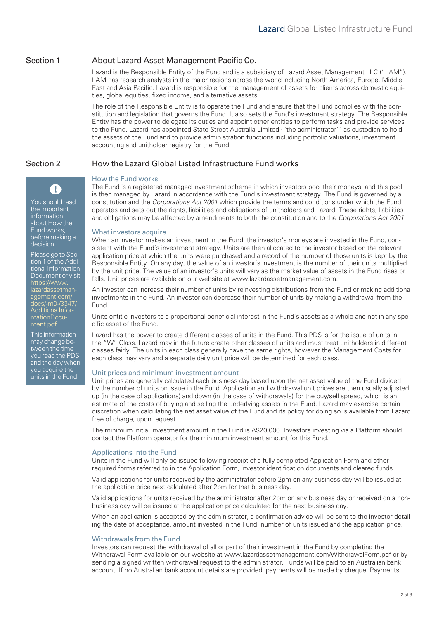# Section 1 About Lazard Asset Management Pacific Co.

Lazard is the Responsible Entity of the Fund and is a subsidiary of Lazard Asset Management LLC ("LAM"). LAM has research analysts in the major regions across the world including North America, Europe, Middle East and Asia Pacific. Lazard is responsible for the management of assets for clients across domestic equities, global equities, fixed income, and alternative assets.

The role of the Responsible Entity is to operate the Fund and ensure that the Fund complies with the constitution and legislation that governs the Fund. It also sets the Fund's investment strategy. The Responsible Entity has the power to delegate its duties and appoint other entities to perform tasks and provide services to the Fund. Lazard has appointed State Street Australia Limited ("the administrator") as custodian to hold the assets of the Fund and to provide administration functions including portfolio valuations, investment accounting and unitholder registry for the Fund.

# Section 2 How the Lazard Global Listed Infrastructure Fund works

# How the Fund works

You should read the important information about How the Fund works, before making a decision.

T

Please go to Section 1 of the Additional Information Document or visit https://www. [lazardassetman](https://www.lazardassetmanagement.com/docs/-m0-/3347/AdditionalInformationDocument.pdf)agement.com/ docs/-m0-/3347/ AdditionalInformationDocument.pdf

This information may change between the time you read the PDS and the day when you acquire the units in the Fund.

The Fund is a registered managed investment scheme in which investors pool their moneys, and this pool is then managed by Lazard in accordance with the Fund's investment strategy. The Fund is governed by a constitution and the *Corporations Act 2001* which provide the terms and conditions under which the Fund operates and sets out the rights, liabilities and obligations of unitholders and Lazard. These rights, liabilities and obligations may be affected by amendments to both the constitution and to the *Corporations Act 2001.*

#### What investors acquire

When an investor makes an investment in the Fund, the investor's moneys are invested in the Fund, consistent with the Fund's investment strategy. Units are then allocated to the investor based on the relevant application price at which the units were purchased and a record of the number of those units is kept by the Responsible Entity. On any day, the value of an investor's investment is the number of their units multiplied by the unit price. The value of an investor's units will vary as the market value of assets in the Fund rises or falls. Unit prices are available on our website at www.lazardassetmanagement.com.

An investor can increase their number of units by reinvesting distributions from the Fund or making additional investments in the Fund. An investor can decrease their number of units by making a withdrawal from the Fund.

Units entitle investors to a proportional beneficial interest in the Fund's assets as a whole and not in any specific asset of the Fund.

Lazard has the power to create different classes of units in the Fund. This PDS is for the issue of units in the "W" Class. Lazard may in the future create other classes of units and must treat unitholders in different classes fairly. The units in each class generally have the same rights, however the Management Costs for each class may vary and a separate daily unit price will be determined for each class.

### Unit prices and minimum investment amount

Unit prices are generally calculated each business day based upon the net asset value of the Fund divided by the number of units on issue in the Fund. Application and withdrawal unit prices are then usually adjusted up (in the case of applications) and down (in the case of withdrawals) for the buy/sell spread, which is an estimate of the costs of buying and selling the underlying assets in the Fund. Lazard may exercise certain discretion when calculating the net asset value of the Fund and its policy for doing so is available from Lazard free of charge, upon request.

The minimum initial investment amount in the Fund is A\$20,000. Investors investing via a Platform should contact the Platform operator for the minimum investment amount for this Fund.

### Applications into the Fund

Units in the Fund will only be issued following receipt of a fully completed Application Form and other required forms referred to in the Application Form, investor identification documents and cleared funds.

Valid applications for units received by the administrator before 2pm on any business day will be issued at the application price next calculated after 2pm for that business day.

Valid applications for units received by the administrator after 2pm on any business day or received on a nonbusiness day will be issued at the application price calculated for the next business day.

When an application is accepted by the administrator, a confirmation advice will be sent to the investor detailing the date of acceptance, amount invested in the Fund, number of units issued and the application price.

### Withdrawals from the Fund

Investors can request the withdrawal of all or part of their investment in the Fund by completing the Withdrawal Form available on our website at [www.lazardassetmanagement.com/WithdrawalForm.pdf](https://www.lazardassetmanagement.com/docs/-m0-/24350/with-drawalform_en.pdf) or by sending a signed written withdrawal request to the administrator. Funds will be paid to an Australian bank account. If no Australian bank account details are provided, payments will be made by cheque. Payments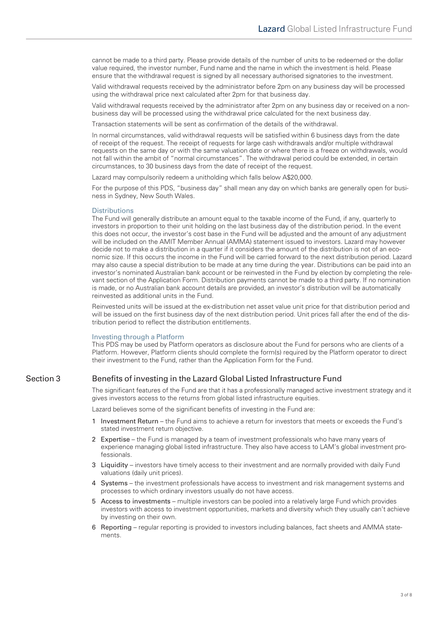cannot be made to a third party. Please provide details of the number of units to be redeemed or the dollar value required, the investor number, Fund name and the name in which the investment is held. Please ensure that the withdrawal request is signed by all necessary authorised signatories to the investment.

Valid withdrawal requests received by the administrator before 2pm on any business day will be processed using the withdrawal price next calculated after 2pm for that business day.

Valid withdrawal requests received by the administrator after 2pm on any business day or received on a nonbusiness day will be processed using the withdrawal price calculated for the next business day.

Transaction statements will be sent as confirmation of the details of the withdrawal.

In normal circumstances, valid withdrawal requests will be satisfied within 6 business days from the date of receipt of the request. The receipt of requests for large cash withdrawals and/or multiple withdrawal requests on the same day or with the same valuation date or where there is a freeze on withdrawals, would not fall within the ambit of "normal circumstances". The withdrawal period could be extended, in certain circumstances, to 30 business days from the date of receipt of the request.

Lazard may compulsorily redeem a unitholding which falls below A\$20,000.

For the purpose of this PDS, "business day" shall mean any day on which banks are generally open for business in Sydney, New South Wales.

#### **Distributions**

The Fund will generally distribute an amount equal to the taxable income of the Fund, if any, quarterly to investors in proportion to their unit holding on the last business day of the distribution period. In the event this does not occur, the investor's cost base in the Fund will be adjusted and the amount of any adjustment will be included on the AMIT Member Annual (AMMA) statement issued to investors. Lazard may however decide not to make a distribution in a quarter if it considers the amount of the distribution is not of an economic size. If this occurs the income in the Fund will be carried forward to the next distribution period. Lazard may also cause a special distribution to be made at any time during the year. Distributions can be paid into an investor's nominated Australian bank account or be reinvested in the Fund by election by completing the relevant section of the Application Form. Distribution payments cannot be made to a third party. If no nomination is made, or no Australian bank account details are provided, an investor's distribution will be automatically reinvested as additional units in the Fund.

Reinvested units will be issued at the ex-distribution net asset value unit price for that distribution period and will be issued on the first business day of the next distribution period. Unit prices fall after the end of the distribution period to reflect the distribution entitlements.

#### Investing through a Platform

This PDS may be used by Platform operators as disclosure about the Fund for persons who are clients of a Platform. However, Platform clients should complete the form(s) required by the Platform operator to direct their investment to the Fund, rather than the Application Form for the Fund.

# Section 3 Benefits of investing in the Lazard Global Listed Infrastructure Fund

The significant features of the Fund are that it has a professionally managed active investment strategy and it gives investors access to the returns from global listed infrastructure equities.

Lazard believes some of the significant benefits of investing in the Fund are:

- 1 Investment Return the Fund aims to achieve a return for investors that meets or exceeds the Fund's stated investment return objective.
- 2 Expertise the Fund is managed by a team of investment professionals who have many years of experience managing global listed infrastructure. They also have access to LAM's global investment professionals.
- 3 Liquidity investors have timely access to their investment and are normally provided with daily Fund valuations (daily unit prices).
- 4 Systems the investment professionals have access to investment and risk management systems and processes to which ordinary investors usually do not have access.
- 5 Access to investments multiple investors can be pooled into a relatively large Fund which provides investors with access to investment opportunities, markets and diversity which they usually can't achieve by investing on their own.
- 6 Reporting regular reporting is provided to investors including balances, fact sheets and AMMA statements.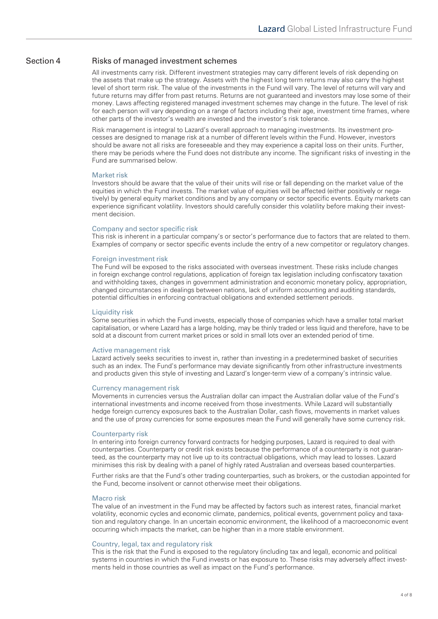# Section 4 Risks of managed investment schemes

All investments carry risk. Different investment strategies may carry different levels of risk depending on the assets that make up the strategy. Assets with the highest long term returns may also carry the highest level of short term risk. The value of the investments in the Fund will vary. The level of returns will vary and future returns may differ from past returns. Returns are not guaranteed and investors may lose some of their money. Laws affecting registered managed investment schemes may change in the future. The level of risk for each person will vary depending on a range of factors including their age, investment time frames, where other parts of the investor's wealth are invested and the investor's risk tolerance.

Risk management is integral to Lazard's overall approach to managing investments. Its investment processes are designed to manage risk at a number of different levels within the Fund. However, investors should be aware not all risks are foreseeable and they may experience a capital loss on their units. Further, there may be periods where the Fund does not distribute any income. The significant risks of investing in the Fund are summarised below.

#### Market risk

Investors should be aware that the value of their units will rise or fall depending on the market value of the equities in which the Fund invests. The market value of equities will be affected (either positively or negatively) by general equity market conditions and by any company or sector specific events. Equity markets can experience significant volatility. Investors should carefully consider this volatility before making their investment decision.

#### Company and sector specific risk

This risk is inherent in a particular company's or sector's performance due to factors that are related to them. Examples of company or sector specific events include the entry of a new competitor or regulatory changes.

#### Foreign investment risk

The Fund will be exposed to the risks associated with overseas investment. These risks include changes in foreign exchange control regulations, application of foreign tax legislation including confiscatory taxation and withholding taxes, changes in government administration and economic monetary policy, appropriation, changed circumstances in dealings between nations, lack of uniform accounting and auditing standards, potential difficulties in enforcing contractual obligations and extended settlement periods.

#### Liquidity risk

Some securities in which the Fund invests, especially those of companies which have a smaller total market capitalisation, or where Lazard has a large holding, may be thinly traded or less liquid and therefore, have to be sold at a discount from current market prices or sold in small lots over an extended period of time.

#### Active management risk

Lazard actively seeks securities to invest in, rather than investing in a predetermined basket of securities such as an index. The Fund's performance may deviate significantly from other infrastructure investments and products given this style of investing and Lazard's longer-term view of a company's intrinsic value.

#### Currency management risk

Movements in currencies versus the Australian dollar can impact the Australian dollar value of the Fund's international investments and income received from those investments. While Lazard will substantially hedge foreign currency exposures back to the Australian Dollar, cash flows, movements in market values and the use of proxy currencies for some exposures mean the Fund will generally have some currency risk.

#### Counterparty risk

In entering into foreign currency forward contracts for hedging purposes, Lazard is required to deal with counterparties. Counterparty or credit risk exists because the performance of a counterparty is not guaranteed, as the counterparty may not live up to its contractual obligations, which may lead to losses. Lazard minimises this risk by dealing with a panel of highly rated Australian and overseas based counterparties.

Further risks are that the Fund's other trading counterparties, such as brokers, or the custodian appointed for the Fund, become insolvent or cannot otherwise meet their obligations.

### Macro risk

The value of an investment in the Fund may be affected by factors such as interest rates, financial market volatility, economic cycles and economic climate, pandemics, political events, government policy and taxation and regulatory change. In an uncertain economic environment, the likelihood of a macroeconomic event occurring which impacts the market, can be higher than in a more stable environment.

#### Country, legal, tax and regulatory risk

This is the risk that the Fund is exposed to the regulatory (including tax and legal), economic and political systems in countries in which the Fund invests or has exposure to. These risks may adversely affect investments held in those countries as well as impact on the Fund's performance.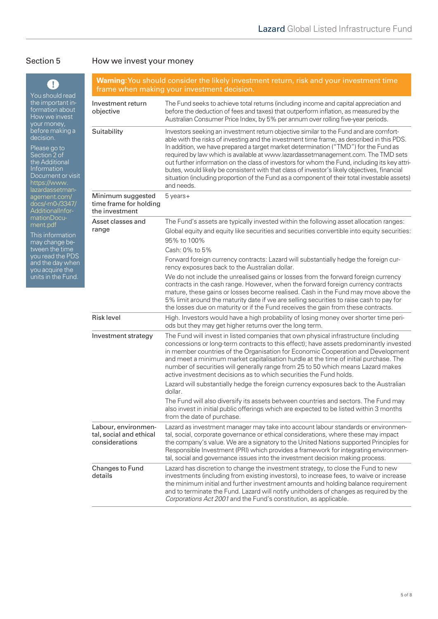# Section 5 How we invest your money

| $\left\lfloor \cdot \right\rfloor$<br>You should read<br>the important in-<br>formation about<br>How we invest<br>your money,<br>before making a<br>decision.<br>Please go to<br>Section 2 of<br>the Additional<br>Information<br>Document or visit<br>https://www.<br>lazardassetman-<br>agement.com/<br>docs/-m0-/3347/<br>AdditionalInfor-<br>mationDocu-<br>ment.pdf<br>This information<br>may change be-<br>tween the time<br>you read the PDS<br>and the day when<br>you acquire the<br>units in the Fund. | <b>Warning:</b> You should consider the likely investment return, risk and your investment time<br>frame when making your investment decision. |                                                                                                                                                                                                                                                                                                                                                                                                                                                                                                                                                                                                                                                                               |  |
|-------------------------------------------------------------------------------------------------------------------------------------------------------------------------------------------------------------------------------------------------------------------------------------------------------------------------------------------------------------------------------------------------------------------------------------------------------------------------------------------------------------------|------------------------------------------------------------------------------------------------------------------------------------------------|-------------------------------------------------------------------------------------------------------------------------------------------------------------------------------------------------------------------------------------------------------------------------------------------------------------------------------------------------------------------------------------------------------------------------------------------------------------------------------------------------------------------------------------------------------------------------------------------------------------------------------------------------------------------------------|--|
|                                                                                                                                                                                                                                                                                                                                                                                                                                                                                                                   | Investment return<br>objective                                                                                                                 | The Fund seeks to achieve total returns (including income and capital appreciation and<br>before the deduction of fees and taxes) that outperform inflation, as measured by the<br>Australian Consumer Price Index, by 5% per annum over rolling five-year periods.                                                                                                                                                                                                                                                                                                                                                                                                           |  |
|                                                                                                                                                                                                                                                                                                                                                                                                                                                                                                                   | Suitability                                                                                                                                    | Investors seeking an investment return objective similar to the Fund and are comfort-<br>able with the risks of investing and the investment time frame, as described in this PDS.<br>In addition, we have prepared a target market determination ("TMD") for the Fund as<br>required by law which is available at www.lazardassetmanagement.com. The TMD sets<br>out further information on the class of investors for whom the Fund, including its key attri-<br>butes, would likely be consistent with that class of investor's likely objectives, financial<br>situation (including proportion of the Fund as a component of their total investable assets)<br>and needs. |  |
|                                                                                                                                                                                                                                                                                                                                                                                                                                                                                                                   | Minimum suggested<br>time frame for holding<br>the investment                                                                                  | 5 years+                                                                                                                                                                                                                                                                                                                                                                                                                                                                                                                                                                                                                                                                      |  |
|                                                                                                                                                                                                                                                                                                                                                                                                                                                                                                                   | Asset classes and<br>range                                                                                                                     | The Fund's assets are typically invested within the following asset allocation ranges:<br>Global equity and equity like securities and securities convertible into equity securities:<br>95% to 100%<br>Cash: 0% to 5%                                                                                                                                                                                                                                                                                                                                                                                                                                                        |  |
|                                                                                                                                                                                                                                                                                                                                                                                                                                                                                                                   |                                                                                                                                                | Forward foreign currency contracts: Lazard will substantially hedge the foreign cur-<br>rency exposures back to the Australian dollar.                                                                                                                                                                                                                                                                                                                                                                                                                                                                                                                                        |  |
|                                                                                                                                                                                                                                                                                                                                                                                                                                                                                                                   |                                                                                                                                                | We do not include the unrealised gains or losses from the forward foreign currency<br>contracts in the cash range. However, when the forward foreign currency contracts<br>mature, these gains or losses become realised. Cash in the Fund may move above the<br>5% limit around the maturity date if we are selling securities to raise cash to pay for<br>the losses due on maturity or if the Fund receives the gain from these contracts.                                                                                                                                                                                                                                 |  |
|                                                                                                                                                                                                                                                                                                                                                                                                                                                                                                                   | <b>Risk level</b>                                                                                                                              | High. Investors would have a high probability of losing money over shorter time peri-<br>ods but they may get higher returns over the long term.                                                                                                                                                                                                                                                                                                                                                                                                                                                                                                                              |  |
|                                                                                                                                                                                                                                                                                                                                                                                                                                                                                                                   | Investment strategy                                                                                                                            | The Fund will invest in listed companies that own physical infrastructure (including<br>concessions or long-term contracts to this effect); have assets predominantly invested<br>in member countries of the Organisation for Economic Cooperation and Development<br>and meet a minimum market capitalisation hurdle at the time of initial purchase. The<br>number of securities will generally range from 25 to 50 which means Lazard makes<br>active investment decisions as to which securities the Fund holds.                                                                                                                                                          |  |
|                                                                                                                                                                                                                                                                                                                                                                                                                                                                                                                   |                                                                                                                                                | Lazard will substantially hedge the foreign currency exposures back to the Australian<br>dollar.<br>The Fund will also diversify its assets between countries and sectors. The Fund may<br>also invest in initial public offerings which are expected to be listed within 3 months<br>from the date of purchase.                                                                                                                                                                                                                                                                                                                                                              |  |
|                                                                                                                                                                                                                                                                                                                                                                                                                                                                                                                   | Labour, environmen-<br>tal, social and ethical<br>considerations                                                                               | Lazard as investment manager may take into account labour standards or environmen-<br>tal, social, corporate governance or ethical considerations, where these may impact<br>the company's value. We are a signatory to the United Nations supported Principles for<br>Responsible Investment (PRI) which provides a framework for integrating environmen-<br>tal, social and governance issues into the investment decision making process.                                                                                                                                                                                                                                  |  |
|                                                                                                                                                                                                                                                                                                                                                                                                                                                                                                                   | Changes to Fund<br>details                                                                                                                     | Lazard has discretion to change the investment strategy, to close the Fund to new<br>investments (including from existing investors), to increase fees, to waive or increase<br>the minimum initial and further investment amounts and holding balance requirement<br>and to terminate the Fund. Lazard will notify unitholders of changes as required by the<br>Corporations Act 2001 and the Fund's constitution, as applicable.                                                                                                                                                                                                                                            |  |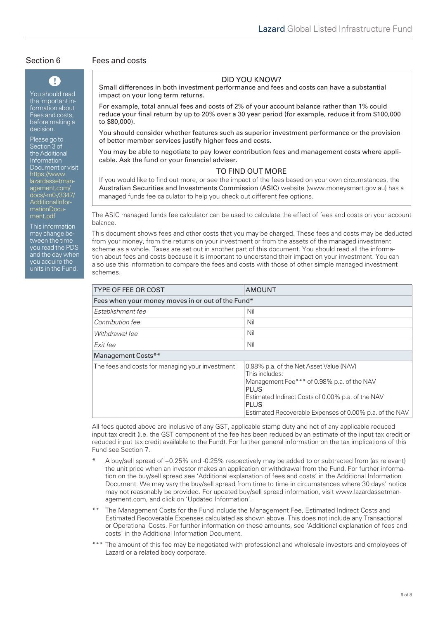# $\mathbf{T}$

You should read the important information about Fees and costs, before making a decision.

Please go to Section 3 of the Additional Information Document or visit https://www. lazardassetmanagement.com [docs/-m0-/3347/](https://www.lazardassetmanagement.com/docs/-m0-/3347/AdditionalInformationDocument.pdf) AdditionalInformationDocument.pdf

This information may change between the time you read the PDS and the day when you acquire the units in the Fund.

## Section 6 Fees and costs

# DID YOU KNOW?

Small differences in both investment performance and fees and costs can have a substantial impact on your long term returns.

For example, total annual fees and costs of 2% of your account balance rather than 1% could reduce your final return by up to 20% over a 30 year period (for example, reduce it from \$100,000 to \$80,000).

You should consider whether features such as superior investment performance or the provision of better member services justify higher fees and costs.

You may be able to negotiate to pay lower contribution fees and management costs where applicable. Ask the fund or your financial adviser.

## TO FIND OUT MORE

If you would like to find out more, or see the impact of the fees based on your own circumstances, the Australian Securities and Investments Commission (ASIC) website (www.moneysmart.gov.au) has a managed funds fee calculator to help you check out different fee options.

The ASIC managed funds fee calculator can be used to calculate the effect of fees and costs on your account balance.

This document shows fees and other costs that you may be charged. These fees and costs may be deducted from your money, from the returns on your investment or from the assets of the managed investment scheme as a whole. Taxes are set out in another part of this document. You should read all the information about fees and costs because it is important to understand their impact on your investment. You can also use this information to compare the fees and costs with those of other simple managed investment schemes.

| <b>TYPE OF FEE OR COST</b>                        | <b>AMOUNT</b>                                                                                                                                                                                                                                  |  |  |  |
|---------------------------------------------------|------------------------------------------------------------------------------------------------------------------------------------------------------------------------------------------------------------------------------------------------|--|--|--|
| Fees when your money moves in or out of the Fund* |                                                                                                                                                                                                                                                |  |  |  |
| Establishment fee                                 | Nil                                                                                                                                                                                                                                            |  |  |  |
| Contribution fee                                  | Nil                                                                                                                                                                                                                                            |  |  |  |
| Withdrawal fee                                    | Nil                                                                                                                                                                                                                                            |  |  |  |
| Exit fee                                          | Nil                                                                                                                                                                                                                                            |  |  |  |
| Management Costs**                                |                                                                                                                                                                                                                                                |  |  |  |
| The fees and costs for managing your investment   | 0.98% p.a. of the Net Asset Value (NAV)<br>This includes:<br>Management Fee*** of 0.98% p.a. of the NAV<br>PLUS<br>Estimated Indirect Costs of 0.00% p.a. of the NAV<br><b>PLUS</b><br>Estimated Recoverable Expenses of 0.00% p.a. of the NAV |  |  |  |

All fees quoted above are inclusive of any GST, applicable stamp duty and net of any applicable reduced input tax credit (i.e. the GST component of the fee has been reduced by an estimate of the input tax credit or reduced input tax credit available to the Fund). For further general information on the tax implications of this Fund see Section 7.

- A buy/sell spread of +0.25% and -0.25% respectively may be added to or subtracted from (as relevant) the unit price when an investor makes an application or withdrawal from the Fund. For further information on the buy/sell spread see 'Additional explanation of fees and costs' in the Additional Information Document. We may vary the buy/sell spread from time to time in circumstances where 30 days' notice [may not reasonably be provided. For updated buy/sell spread information, visit www.lazardassetman](https://www.lazardassetmanagement.com)agement.com, and click on 'Updated Information'.
- The Management Costs for the Fund include the Management Fee, Estimated Indirect Costs and Estimated Recoverable Expenses calculated as shown above. This does not include any Transactional or Operational Costs. For further information on these amounts, see 'Additional explanation of fees and costs' in the Additional Information Document.
- \*\*\* The amount of this fee may be negotiated with professional and wholesale investors and employees of Lazard or a related body corporate.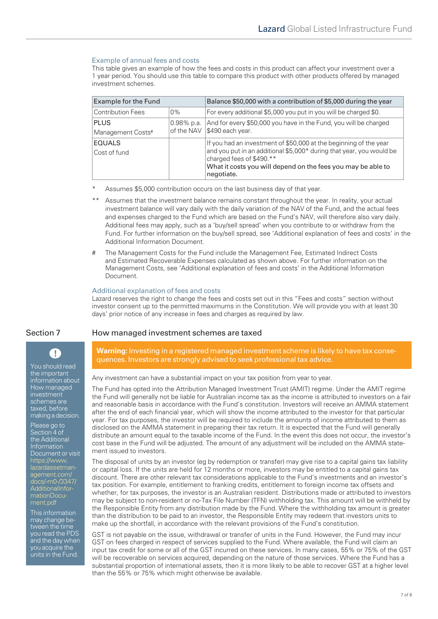### Example of annual fees and costs

This table gives an example of how the fees and costs in this product can affect your investment over a 1 year period. You should use this table to compare this product with other products offered by managed investment schemes.

| Example for the Fund             |                          | Balance \$50,000 with a contribution of \$5,000 during the year                                                                                                                                                                                     |
|----------------------------------|--------------------------|-----------------------------------------------------------------------------------------------------------------------------------------------------------------------------------------------------------------------------------------------------|
| <b>Contribution Fees</b>         | $0\%$                    | For every additional \$5,000 you put in you will be charged \$0.                                                                                                                                                                                    |
| <b>PLUS</b><br>Management Costs# | 0.98% p.a.<br>of the NAV | And for every \$50,000 you have in the Fund, you will be charged<br>\$490 each year.                                                                                                                                                                |
| <b>EQUALS</b><br>Cost of fund    |                          | If you had an investment of \$50,000 at the beginning of the year<br>and you put in an additional \$5,000* during that year, you would be<br>charged fees of \$490.**<br>What it costs you will depend on the fees you may be able to<br>negotiate. |

- Assumes \$5,000 contribution occurs on the last business day of that year.
- Assumes that the investment balance remains constant throughout the year. In reality, your actual investment balance will vary daily with the daily variation of the NAV of the Fund, and the actual fees and expenses charged to the Fund which are based on the Fund's NAV, will therefore also vary daily. Additional fees may apply, such as a 'buy/sell spread' when you contribute to or withdraw from the Fund. For further information on the buy/sell spread, see 'Additional explanation of fees and costs' in the Additional Information Document.
- The Management Costs for the Fund include the Management Fee, Estimated Indirect Costs and Estimated Recoverable Expenses calculated as shown above. For further information on the Management Costs, see 'Additional explanation of fees and costs' in the Additional Information Document.

#### Additional explanation of fees and costs

Lazard reserves the right to change the fees and costs set out in this "Fees and costs" section without investor consent up to the permitted maximums in the Constitution. We will provide you with at least 30 days' prior notice of any increase in fees and charges as required by law.

## Section 7 How managed investment schemes are taxed

**Warning:** Investing in a registered managed investment scheme is likely to have tax consequences. Investors are strongly advised to seek professional tax advice.

Any investment can have a substantial impact on your tax position from year to year.

The Fund has opted into the Attribution Managed Investment Trust (AMIT) regime. Under the AMIT regime the Fund will generally not be liable for Australian income tax as the income is attributed to investors on a fair and reasonable basis in accordance with the Fund's constitution. Investors will receive an AMMA statement after the end of each financial year, which will show the income attributed to the investor for that particular year. For tax purposes, the investor will be required to include the amounts of income attributed to them as disclosed on the AMMA statement in preparing their tax return. It is expected that the Fund will generally distribute an amount equal to the taxable income of the Fund. In the event this does not occur, the investor's cost base in the Fund will be adjusted. The amount of any adjustment will be included on the AMMA statement issued to investors.

The disposal of units by an investor (eg by redemption or transfer) may give rise to a capital gains tax liability or capital loss. If the units are held for 12 months or more, investors may be entitled to a capital gains tax discount. There are other relevant tax considerations applicable to the Fund's investments and an investor's tax position. For example, entitlement to franking credits, entitlement to foreign income tax offsets and whether, for tax purposes, the investor is an Australian resident. Distributions made or attributed to investors may be subject to non-resident or no-Tax File Number (TFN) withholding tax. This amount will be withheld by the Responsible Entity from any distribution made by the Fund. Where the withholding tax amount is greater than the distribution to be paid to an investor, the Responsible Entity may redeem that investors units to make up the shortfall, in accordance with the relevant provisions of the Fund's constitution.

GST is not payable on the issue, withdrawal or transfer of units in the Fund. However, the Fund may incur GST on fees charged in respect of services supplied to the Fund. Where available, the Fund will claim an input tax credit for some or all of the GST incurred on these services. In many cases, 55% or 75% of the GST will be recoverable on services acquired, depending on the nature of those services. Where the Fund has a substantial proportion of international assets, then it is more likely to be able to recover GST at a higher level than the 55% or 75% which might otherwise be available.

You should read the important information about How managed investment schemes are taxed, before making a decision.

 $\mathbf{T}$ 

Please go to Section 4 of the Additional Information Document or visit https://www. [lazardassetman](https://www.lazardassetmanagement.com/docs/-m0-/3347/AdditionalInformationDocument.pdf)agement.com/ docs/-m0-/3347/ AdditionalInformationDocument.pdf

This information may change between the time you read the PDS and the day when you acquire the units in the Fund.